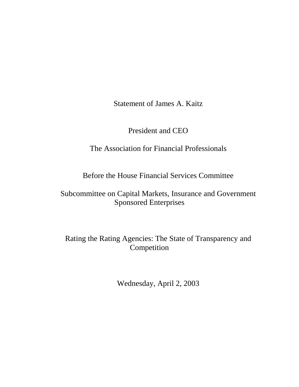Statement of James A. Kaitz

President and CEO

# The Association for Financial Professionals

Before the House Financial Services Committee

Subcommittee on Capital Markets, Insurance and Government Sponsored Enterprises

Rating the Rating Agencies: The State of Transparency and Competition

Wednesday, April 2, 2003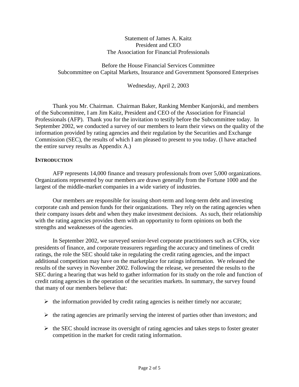#### Statement of James A. Kaitz President and CEO The Association for Financial Professionals

Before the House Financial Services Committee Subcommittee on Capital Markets, Insurance and Government Sponsored Enterprises

Wednesday, April 2, 2003

Thank you Mr. Chairman. Chairman Baker, Ranking Member Kanjorski, and members of the Subcommittee, I am Jim Kaitz, President and CEO of the Association for Financial Professionals (AFP). Thank you for the invitation to testify before the Subcommittee today. In September 2002, we conducted a survey of our members to learn their views on the quality of the information provided by rating agencies and their regulation by the Securities and Exchange Commission (SEC), the results of which I am pleased to present to you today. (I have attached the entire survey results as Appendix A.)

#### **INTRODUCTION**

AFP represents 14,000 finance and treasury professionals from over 5,000 organizations. Organizations represented by our members are drawn generally from the Fortune 1000 and the largest of the middle-market companies in a wide variety of industries.

Our members are responsible for issuing short-term and long-term debt and investing corporate cash and pension funds for their organizations. They rely on the rating agencies when their company issues debt and when they make investment decisions. As such, their relationship with the rating agencies provides them with an opportunity to form opinions on both the strengths and weaknesses of the agencies.

In September 2002, we surveyed senior-level corporate practitioners such as CFOs, vice presidents of finance, and corporate treasurers regarding the accuracy and timeliness of credit ratings, the role the SEC should take in regulating the credit rating agencies, and the impact additional competition may have on the marketplace for ratings information. We released the results of the survey in November 2002. Following the release, we presented the results to the SEC during a hearing that was held to gather information for its study on the role and function of credit rating agencies in the operation of the securities markets. In summary, the survey found that many of our members believe that:

- $\triangleright$  the information provided by credit rating agencies is neither timely nor accurate;
- $\triangleright$  the rating agencies are primarily serving the interest of parties other than investors; and
- $\triangleright$  the SEC should increase its oversight of rating agencies and takes steps to foster greater competition in the market for credit rating information.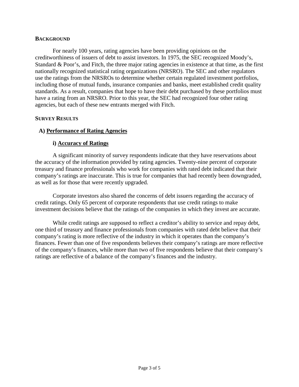#### **BACKGROUND**

For nearly 100 years, rating agencies have been providing opinions on the creditworthiness of issuers of debt to assist investors. In 1975, the SEC recognized Moody's, Standard & Poor's, and Fitch, the three major rating agencies in existence at that time, as the first nationally recognized statistical rating organizations (NRSRO). The SEC and other regulators use the ratings from the NRSROs to determine whether certain regulated investment portfolios, including those of mutual funds, insurance companies and banks, meet established credit quality standards. As a result, companies that hope to have their debt purchased by these portfolios must have a rating from an NRSRO. Prior to this year, the SEC had recognized four other rating agencies, but each of these new entrants merged with Fitch.

#### **SURVEY RESULTS**

### **A) Performance of Rating Agencies**

### **i) Accuracy of Ratings**

A significant minority of survey respondents indicate that they have reservations about the accuracy of the information provided by rating agencies. Twenty-nine percent of corporate treasury and finance professionals who work for companies with rated debt indicated that their company's ratings are inaccurate. This is true for companies that had recently been downgraded, as well as for those that were recently upgraded.

Corporate investors also shared the concerns of debt issuers regarding the accuracy of credit ratings. Only 65 percent of corporate respondents that use credit ratings to make investment decisions believe that the ratings of the companies in which they invest are accurate.

While credit ratings are supposed to reflect a creditor's ability to service and repay debt, one third of treasury and finance professionals from companies with rated debt believe that their company's rating is more reflective of the industry in which it operates than the company's finances. Fewer than one of five respondents believes their company's ratings are more reflective of the company's finances, while more than two of five respondents believe that their company's ratings are reflective of a balance of the company's finances and the industry.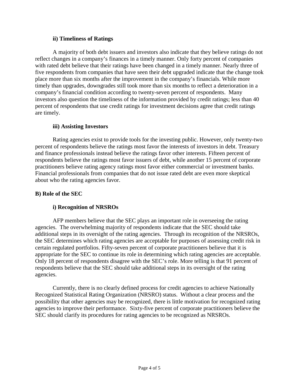#### **ii) Timeliness of Ratings**

A majority of both debt issuers and investors also indicate that they believe ratings do not reflect changes in a company's finances in a timely manner. Only forty percent of companies with rated debt believe that their ratings have been changed in a timely manner. Nearly three of five respondents from companies that have seen their debt upgraded indicate that the change took place more than six months after the improvement in the company's financials. While more timely than upgrades, downgrades still took more than six months to reflect a deterioration in a company's financial condition according to twenty-seven percent of respondents. Many investors also question the timeliness of the information provided by credit ratings; less than 40 percent of respondents that use credit ratings for investment decisions agree that credit ratings are timely.

## **iii) Assisting Investors**

Rating agencies exist to provide tools for the investing public. However, only twenty-two percent of respondents believe the ratings most favor the interests of investors in debt. Treasury and finance professionals instead believe the ratings favor other interests. Fifteen percent of respondents believe the ratings most favor issuers of debt, while another 15 percent of corporate practitioners believe rating agency ratings most favor either commercial or investment banks. Financial professionals from companies that do not issue rated debt are even more skeptical about who the rating agencies favor.

## **B) Role of the SEC**

## **i) Recognition of NRSROs**

AFP members believe that the SEC plays an important role in overseeing the rating agencies. The overwhelming majority of respondents indicate that the SEC should take additional steps in its oversight of the rating agencies. Through its recognition of the NRSROs, the SEC determines which rating agencies are acceptable for purposes of assessing credit risk in certain regulated portfolios. Fifty-seven percent of corporate practitioners believe that it is appropriate for the SEC to continue its role in determining which rating agencies are acceptable. Only 18 percent of respondents disagree with the SEC's role. More telling is that 91 percent of respondents believe that the SEC should take additional steps in its oversight of the rating agencies.

Currently, there is no clearly defined process for credit agencies to achieve Nationally Recognized Statistical Rating Organization (NRSRO) status. Without a clear process and the possibility that other agencies may be recognized, there is little motivation for recognized rating agencies to improve their performance. Sixty-five percent of corporate practitioners believe the SEC should clarify its procedures for rating agencies to be recognized as NRSROs.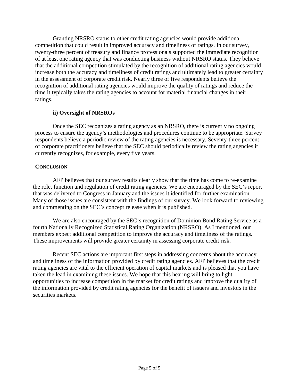Granting NRSRO status to other credit rating agencies would provide additional competition that could result in improved accuracy and timeliness of ratings. In our survey, twenty-three percent of treasury and finance professionals supported the immediate recognition of at least one rating agency that was conducting business without NRSRO status. They believe that the additional competition stimulated by the recognition of additional rating agencies would increase both the accuracy and timeliness of credit ratings and ultimately lead to greater certainty in the assessment of corporate credit risk. Nearly three of five respondents believe the recognition of additional rating agencies would improve the quality of ratings and reduce the time it typically takes the rating agencies to account for material financial changes in their ratings.

## **ii) Oversight of NRSROs**

Once the SEC recognizes a rating agency as an NRSRO, there is currently no ongoing process to ensure the agency's methodologies and procedures continue to be appropriate. Survey respondents believe a periodic review of the rating agencies is necessary. Seventy-three percent of corporate practitioners believe that the SEC should periodically review the rating agencies it currently recognizes, for example, every five years.

# **CONCLUSION**

AFP believes that our survey results clearly show that the time has come to re-examine the role, function and regulation of credit rating agencies. We are encouraged by the SEC's report that was delivered to Congress in January and the issues it identified for further examination. Many of those issues are consistent with the findings of our survey. We look forward to reviewing and commenting on the SEC's concept release when it is published.

We are also encouraged by the SEC's recognition of Dominion Bond Rating Service as a fourth Nationally Recognized Statistical Rating Organization (NRSRO). As I mentioned, our members expect additional competition to improve the accuracy and timeliness of the ratings. These improvements will provide greater certainty in assessing corporate credit risk.

Recent SEC actions are important first steps in addressing concerns about the accuracy and timeliness of the information provided by credit rating agencies. AFP believes that the credit rating agencies are vital to the efficient operation of capital markets and is pleased that you have taken the lead in examining these issues. We hope that this hearing will bring to light opportunities to increase competition in the market for credit ratings and improve the quality of the information provided by credit rating agencies for the benefit of issuers and investors in the securities markets.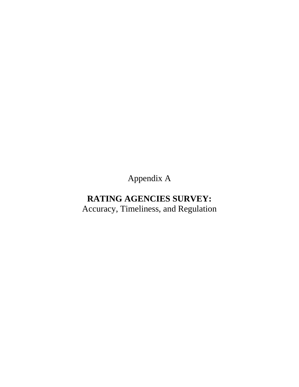Appendix A

# **RATING AGENCIES SURVEY:** Accuracy, Timeliness, and Regulation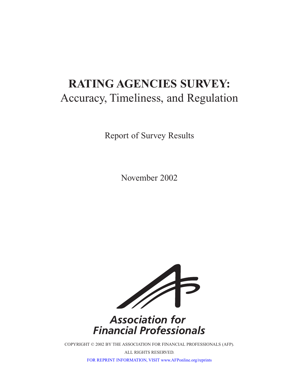# **RATING AGENCIES SURVEY:** Accuracy, Timeliness, and Regulation

Report of Survey Results

November 2002



# **Association for Financial Professionals**

COPYRIGHT © 2002 BY THE ASSOCIATION FOR FINANCIAL PROFESSIONALS (AFP).

ALL RIGHTS RESERVED.

[FOR REPRINT INFORMATION, VISIT www.AFPonline.org/reprints](http://www.AFPonline.org/reprints)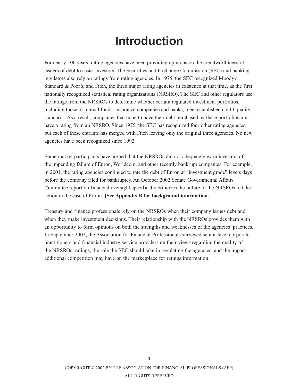# **Introduction**

For nearly 100 years, rating agencies have been providing opinions on the creditworthiness of issuers of debt to assist investors. The Securities and Exchange Commission (SEC) and banking regulators also rely on ratings from rating agencies. In 1975, the SEC recognized Moody's, Standard & Poor's, and Fitch, the three major rating agencies in existence at that time, as the first nationally recognized statistical rating organizations (NRSRO). The SEC and other regulators use the ratings from the NRSROs to determine whether certain regulated investment portfolios, including those of mutual funds, insurance companies and banks, meet established credit quality standards. As a result, companies that hope to have their debt purchased by these portfolios must have a rating from an NRSRO. Since 1975, the SEC has recognized four other rating agencies, but each of these entrants has merged with Fitch leaving only the original three agencies. No new agencies have been recognized since 1992.

Some market participants have argued that the NRSROs did not adequately warn investors of the impending failure of Enron, Worldcom, and other recently bankrupt companies. For example, in 2001, the rating agencies continued to rate the debt of Enron at "investment grade" levels days before the company filed for bankruptcy. An October 2002 Senate Governmental Affairs Committee report on financial oversight specifically criticizes the failure of the NRSROs to take action in the case of Enron. **{See Appendix B for background information.}**

Treasury and finance professionals rely on the NRSROs when their company issues debt and when they make investment decisions. Their relationship with the NRSROs provides them with an opportunity to form opinions on both the strengths and weaknesses of the agencies' practices. In September 2002, the Association for Financial Professionals surveyed senior level corporate practitioners and financial industry service providers on their views regarding the quality of the NRSROs' ratings, the role the SEC should take in regulating the agencies, and the impact additional competition may have on the marketplace for ratings information.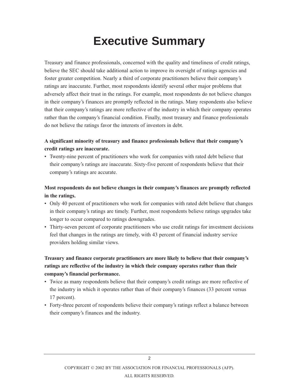# **Executive Summary**

Treasury and finance professionals, concerned with the quality and timeliness of credit ratings, believe the SEC should take additional action to improve its oversight of ratings agencies and foster greater competition. Nearly a third of corporate practitioners believe their company's ratings are inaccurate. Further, most respondents identify several other major problems that adversely affect their trust in the ratings. For example, most respondents do not believe changes in their company's finances are promptly reflected in the ratings. Many respondents also believe that their company's ratings are more reflective of the industry in which their company operates rather than the company's financial condition. Finally, most treasury and finance professionals do not believe the ratings favor the interests of investors in debt.

# **A significant minority of treasury and finance professionals believe that their company's credit ratings are inaccurate.**

• Twenty-nine percent of practitioners who work for companies with rated debt believe that their company's ratings are inaccurate. Sixty-five percent of respondents believe that their company's ratings are accurate.

# **Most respondents do not believe changes in their company's finances are promptly reflected in the ratings.**

- Only 40 percent of practitioners who work for companies with rated debt believe that changes in their company's ratings are timely. Further, most respondents believe ratings upgrades take longer to occur compared to ratings downgrades.
- Thirty-seven percent of corporate practitioners who use credit ratings for investment decisions feel that changes in the ratings are timely, with 43 percent of financial industry service providers holding similar views.

# **Treasury and finance corporate practitioners are more likely to believe that their company's ratings are reflective of the industry in which their company operates rather than their company's financial performance.**

- Twice as many respondents believe that their company's credit ratings are more reflective of the industry in which it operates rather than of their company's finances (33 percent versus 17 percent).
- Forty-three percent of respondents believe their company's ratings reflect a balance between their company's finances and the industry.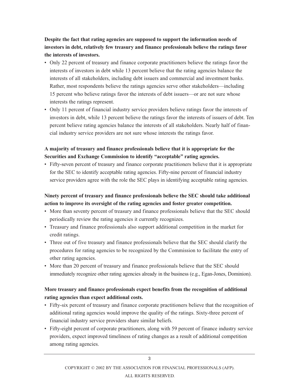**Despite the fact that rating agencies are supposed to support the information needs of investors in debt, relatively few treasury and finance professionals believe the ratings favor the interests of investors.**

- Only 22 percent of treasury and finance corporate practitioners believe the ratings favor the interests of investors in debt while 13 percent believe that the rating agencies balance the interests of all stakeholders, including debt issuers and commercial and investment banks. Rather, most respondents believe the ratings agencies serve other stakeholders—including 15 percent who believe ratings favor the interests of debt issuers—or are not sure whose interests the ratings represent.
- Only 11 percent of financial industry service providers believe ratings favor the interests of investors in debt, while 13 percent believe the ratings favor the interests of issuers of debt. Ten percent believe rating agencies balance the interests of all stakeholders. Nearly half of financial industry service providers are not sure whose interests the ratings favor.

# **A majority of treasury and finance professionals believe that it is appropriate for the Securities and Exchange Commission to identify "acceptable" rating agencies.**

• Fifty-seven percent of treasury and finance corporate practitioners believe that it is appropriate for the SEC to identify acceptable rating agencies. Fifty-nine percent of financial industry service providers agree with the role the SEC plays in identifying acceptable rating agencies.

# **Ninety percent of treasury and finance professionals believe the SEC should take additional action to improve its oversight of the rating agencies and foster greater competition.**

- More than seventy percent of treasury and finance professionals believe that the SEC should periodically review the rating agencies it currently recognizes.
- Treasury and finance professionals also support additional competition in the market for credit ratings.
- Three out of five treasury and finance professionals believe that the SEC should clarify the procedures for rating agencies to be recognized by the Commission to facilitate the entry of other rating agencies.
- More than 20 percent of treasury and finance professionals believe that the SEC should immediately recognize other rating agencies already in the business (e.g., Egan-Jones, Dominion).

# **More treasury and finance professionals expect benefits from the recognition of additional rating agencies than expect additional costs.**

- Fifty-six percent of treasury and finance corporate practitioners believe that the recognition of additional rating agencies would improve the quality of the ratings. Sixty-three percent of financial industry service providers share similar beliefs.
- Fifty-eight percent of corporate practitioners, along with 59 percent of finance industry service providers, expect improved timeliness of rating changes as a result of additional competition among rating agencies.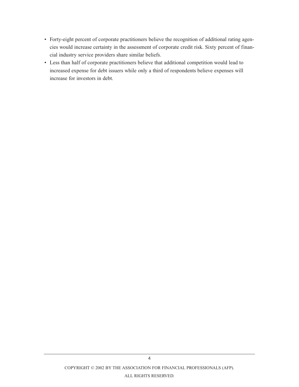- Forty-eight percent of corporate practitioners believe the recognition of additional rating agencies would increase certainty in the assessment of corporate credit risk. Sixty percent of financial industry service providers share similar beliefs.
- Less than half of corporate practitioners believe that additional competition would lead to increased expense for debt issuers while only a third of respondents believe expenses will increase for investors in debt.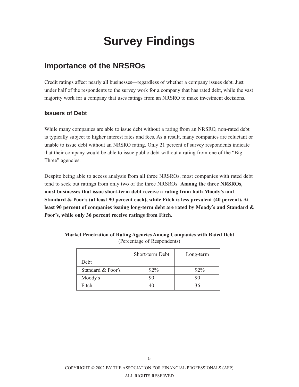# **Survey Findings**

# **Importance of the NRSROs**

Credit ratings affect nearly all businesses—regardless of whether a company issues debt. Just under half of the respondents to the survey work for a company that has rated debt, while the vast majority work for a company that uses ratings from an NRSRO to make investment decisions.

## **Issuers of Debt**

While many companies are able to issue debt without a rating from an NRSRO, non-rated debt is typically subject to higher interest rates and fees. As a result, many companies are reluctant or unable to issue debt without an NRSRO rating. Only 21 percent of survey respondents indicate that their company would be able to issue public debt without a rating from one of the "Big Three" agencies.

Despite being able to access analysis from all three NRSROs, most companies with rated debt tend to seek out ratings from only two of the three NRSROs. **Among the three NRSROs, most businesses that issue short-term debt receive a rating from both Moody's and Standard & Poor's (at least 90 percent each), while Fitch is less prevalent (40 percent). At least 90 percent of companies issuing long-term debt are rated by Moody's and Standard & Poor's, while only 36 percent receive ratings from Fitch.**

|                   | Short-term Debt | Long-term |
|-------------------|-----------------|-----------|
| Debt              |                 |           |
| Standard & Poor's | $92\%$          | $92\%$    |
| Moody's           | 90              |           |
| Fitch             |                 | 36        |

**Market Penetration of Rating Agencies Among Companies with Rated Debt** (Percentage of Respondents)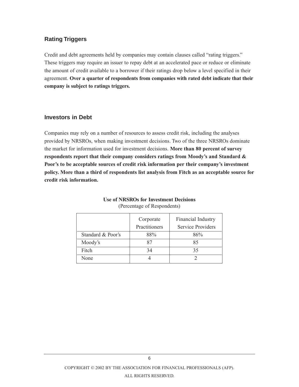### **Rating Triggers**

Credit and debt agreements held by companies may contain clauses called "rating triggers." These triggers may require an issuer to repay debt at an accelerated pace or reduce or eliminate the amount of credit available to a borrower if their ratings drop below a level specified in their agreement. **Over a quarter of respondents from companies with rated debt indicate that their company is subject to ratings triggers.**

#### **Investors in Debt**

Companies may rely on a number of resources to assess credit risk, including the analyses provided by NRSROs, when making investment decisions. Two of the three NRSROs dominate the market for information used for investment decisions. **More than 80 percent of survey respondents report that their company considers ratings from Moody's and Standard & Poor's to be acceptable sources of credit risk information per their company's investment policy. More than a third of respondents list analysis from Fitch as an acceptable source for credit risk information.**

|                   | Corporate     | Financial Industry       |
|-------------------|---------------|--------------------------|
|                   | Practitioners | <b>Service Providers</b> |
| Standard & Poor's | 88%           | 86%                      |
| Moody's           | 87            | 85                       |
| Fitch             | 34            | 35                       |
| None              |               |                          |

#### **Use of NRSROs for Investment Decisions** (Percentage of Respondents)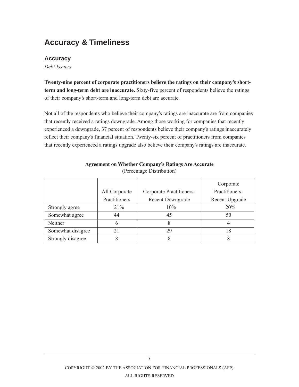# **Accuracy & Timeliness**

### **Accuracy**

*Debt Issuers*

**Twenty-nine percent of corporate practitioners believe the ratings on their company's shortterm and long-term debt are inaccurate.** Sixty-five percent of respondents believe the ratings of their company's short-term and long-term debt are accurate.

Not all of the respondents who believe their company's ratings are inaccurate are from companies that recently received a ratings downgrade. Among those working for companies that recently experienced a downgrade, 37 percent of respondents believe their company's ratings inaccurately reflect their company's financial situation. Twenty-six percent of practitioners from companies that recently experienced a ratings upgrade also believe their company's ratings are inaccurate.

|                   |               |                          | Corporate      |
|-------------------|---------------|--------------------------|----------------|
|                   | All Corporate | Corporate Practitioners- | Practitioners- |
|                   | Practitioners | Recent Downgrade         | Recent Upgrade |
| Strongly agree    | $21\%$        | 10%                      | 20%            |
| Somewhat agree    | 44            | 45                       | 50             |
| Neither           | 6             | 8                        |                |
| Somewhat disagree | 21            | 29                       | 18             |
| Strongly disagree |               | 8                        | 8              |

#### **Agreement on Whether Company's Ratings Are Accurate** (Percentage Distribution)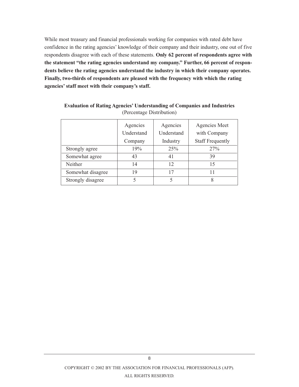While most treasury and financial professionals working for companies with rated debt have confidence in the rating agencies' knowledge of their company and their industry, one out of five respondents disagree with each of these statements. **Only 62 percent of respondents agree with the statement "the rating agencies understand my company." Further, 66 percent of respondents believe the rating agencies understand the industry in which their company operates. Finally, two-thirds of respondents are pleased with the frequency with which the rating agencies' staff meet with their company's staff.**

|                   | Agencies   | Agencies   | Agencies Meet           |
|-------------------|------------|------------|-------------------------|
|                   | Understand | Understand | with Company            |
|                   | Company    | Industry   | <b>Staff Frequently</b> |
| Strongly agree    | 19%        | 25%        | 27%                     |
| Somewhat agree    | 43         | 41         | 39                      |
| Neither           | 14         | 12         | 15                      |
| Somewhat disagree | 19         | 17         |                         |
| Strongly disagree |            | 5          | 8                       |

**Evaluation of Rating Agencies' Understanding of Companies and Industries**  (Percentage Distribution)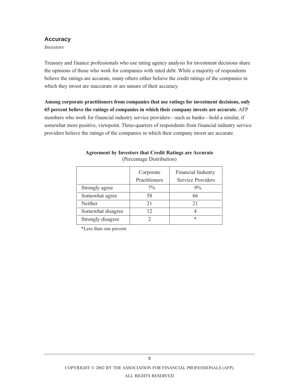#### **Accuracy**

*Investors*

Treasury and finance professionals who use rating agency analysis for investment decisions share the opinions of those who work for companies with rated debt. While a majority of respondents believe the ratings are accurate, many others either believe the credit ratings of the companies in which they invest are inaccurate or are unsure of their accuracy.

**Among corporate practitioners from companies that use ratings for investment decisions, only 65 percent believe the ratings of companies in which their company invests are accurate.** AFP members who work for financial industry service providers—such as banks—hold a similar, if somewhat more positive, viewpoint. Three-quarters of respondents from financial industry service providers believe the ratings of the companies in which their company invest are accurate.

|                   | Corporate     | Financial Industry       |
|-------------------|---------------|--------------------------|
|                   | Practitioners | <b>Service Providers</b> |
| Strongly agree    | $7\%$         | 9%                       |
| Somewhat agree    | 58            | 66                       |
| Neither           | 21            | 21                       |
| Somewhat disagree | 12            |                          |
| Strongly disagree |               | *                        |

#### **Agreement by Investors that Credit Ratings are Accurate** (Percentage Distribution)

\*Less than one percent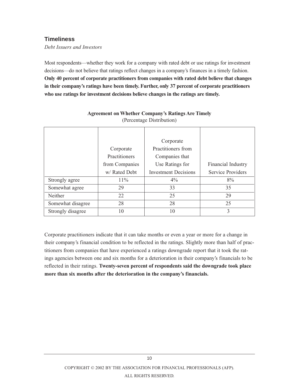## **Timeliness**

*Debt Issuers and Investors*

Most respondents—whether they work for a company with rated debt or use ratings for investment decisions—do not believe that ratings reflect changes in a company's finances in a timely fashion. **Only 40 percent of corporate practitioners from companies with rated debt believe that changes in their company's ratings have been timely. Further, only 37 percent of corporate practitioners who use ratings for investment decisions believe changes in the ratings are timely.**

|                   |                      | Corporate                   |                    |
|-------------------|----------------------|-----------------------------|--------------------|
|                   | Corporate            | Practitioners from          |                    |
|                   | <b>Practitioners</b> | Companies that              |                    |
|                   | from Companies       | Use Ratings for             | Financial Industry |
|                   | w/ Rated Debt        | <b>Investment Decisions</b> | Service Providers  |
| Strongly agree    | $11\%$               | $4\%$                       | 8%                 |
| Somewhat agree    | 29                   | 33                          | 35                 |
| Neither           | 22                   | 25                          | 29                 |
| Somewhat disagree | 28                   | 28                          | 25                 |
| Strongly disagree | 10                   | 10                          | 3                  |

#### **Agreement on Whether Company's Ratings Are Timely** (Percentage Distribution)

Corporate practitioners indicate that it can take months or even a year or more for a change in their company's financial condition to be reflected in the ratings. Slightly more than half of practitioners from companies that have experienced a ratings downgrade report that it took the ratings agencies between one and six months for a deterioration in their company's financials to be reflected in their ratings. **Twenty-seven percent of respondents said the downgrade took place more than six months after the deterioration in the company's financials.**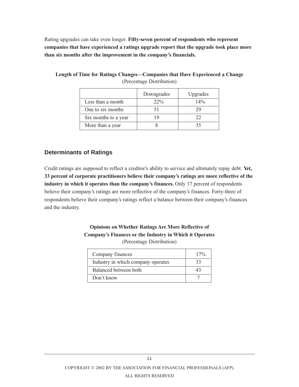Rating upgrades can take even longer. **Fifty-seven percent of respondents who represent companies that have experienced a ratings upgrade report that the upgrade took place more than six months after the improvement in the company's financials.**

|                      | Downgrades | Upgrades |
|----------------------|------------|----------|
| Less than a month    | $22\%$     | 14%      |
| One to six months    |            |          |
| Six months to a year |            | フフ       |
| More than a year     |            |          |

**Length of Time for Ratings Changes—Companies that Have Experienced a Change** (Percentage Distribution)

## **Determinants of Ratings**

Credit ratings are supposed to reflect a creditor's ability to service and ultimately repay debt. **Yet, 33 percent of corporate practitioners believe their company's ratings are more reflective of the industry in which it operates than the company's finances.** Only 17 percent of respondents believe their company's ratings are more reflective of the company's finances. Forty-three of respondents believe their company's ratings reflect a balance between their company's finances and the industry.

## **Opinions on Whether Ratings Are More Reflective of Company's Finances or the Industry in Which it Operates** (Percentage Distribution)

| Company finances                   | 17% |
|------------------------------------|-----|
| Industry in which company operates | 33  |
| Balanced between both              |     |
| Don't know                         |     |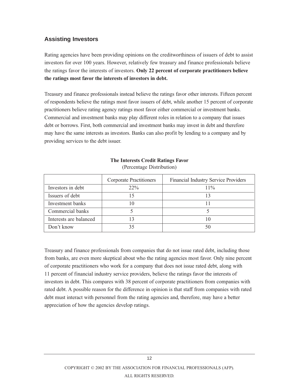# **Assisting Investors**

Rating agencies have been providing opinions on the creditworthiness of issuers of debt to assist investors for over 100 years. However, relatively few treasury and finance professionals believe the ratings favor the interests of investors. **Only 22 percent of corporate practitioners believe the ratings most favor the interests of investors in debt.**

Treasury and finance professionals instead believe the ratings favor other interests. Fifteen percent of respondents believe the ratings most favor issuers of debt, while another 15 percent of corporate practitioners believe rating agency ratings most favor either commercial or investment banks. Commercial and investment banks may play different roles in relation to a company that issues debt or borrows. First, both commercial and investment banks may invest in debt and therefore may have the same interests as investors. Banks can also profit by lending to a company and by providing services to the debt issuer.

|                        | <b>Corporate Practitioners</b> | Financial Industry Service Providers |
|------------------------|--------------------------------|--------------------------------------|
| Investors in debt      | $22\%$                         | $11\%$                               |
| Issuers of debt        |                                |                                      |
| Investment banks       |                                |                                      |
| Commercial banks       |                                |                                      |
| Interests are balanced |                                |                                      |
| Don't know             | 35                             | 50                                   |

#### **The Interests Credit Ratings Favor** (Percentage Distribution)

Treasury and finance professionals from companies that do not issue rated debt, including those from banks, are even more skeptical about who the rating agencies most favor. Only nine percent of corporate practitioners who work for a company that does not issue rated debt, along with 11 percent of financial industry service providers, believe the ratings favor the interests of investors in debt. This compares with 38 percent of corporate practitioners from companies with rated debt. A possible reason for the difference in opinion is that staff from companies with rated debt must interact with personnel from the rating agencies and, therefore, may have a better appreciation of how the agencies develop ratings.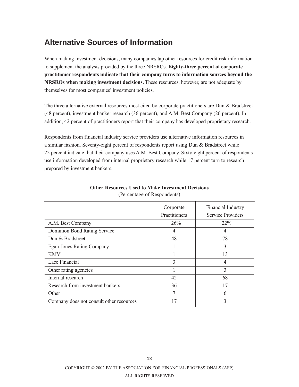# **Alternative Sources of Information**

When making investment decisions, many companies tap other resources for credit risk information to supplement the analysis provided by the three NRSROs. **Eighty-three percent of corporate practitioner respondents indicate that their company turns to information sources beyond the NRSROs when making investment decisions.** These resources, however, are not adequate by themselves for most companies' investment policies.

The three alternative external resources most cited by corporate practitioners are Dun & Bradstreet (48 percent), investment banker research (36 percent), and A.M. Best Company (26 percent). In addition, 42 percent of practitioners report that their company has developed proprietary research.

Respondents from financial industry service providers use alternative information resources in a similar fashion. Seventy-eight percent of respondents report using Dun & Bradstreet while 22 percent indicate that their company uses A.M. Best Company. Sixty-eight percent of respondents use information developed from internal proprietary research while 17 percent turn to research prepared by investment bankers.

|                                          | Corporate<br>Practitioners | Financial Industry<br>Service Providers |
|------------------------------------------|----------------------------|-----------------------------------------|
| A.M. Best Company                        | 26%                        | $22\%$                                  |
| Dominion Bond Rating Service             | 4                          | 4                                       |
| Dun & Bradstreet                         | 48                         | 78                                      |
| <b>Egan-Jones Rating Company</b>         |                            | 3                                       |
| <b>KMV</b>                               |                            | 13                                      |
| Lace Financial                           | 3                          | 4                                       |
| Other rating agencies                    |                            | 3                                       |
| Internal research                        | 42                         | 68                                      |
| Research from investment bankers         | 36                         | 17                                      |
| Other                                    | 7                          | 6                                       |
| Company does not consult other resources | 17                         | 3                                       |

#### **Other Resources Used to Make Investment Decisions** (Percentage of Respondents)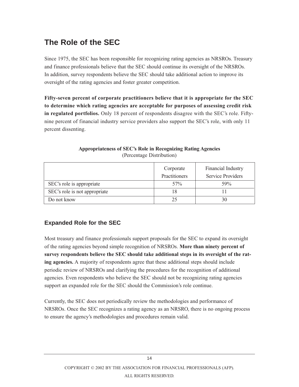# **The Role of the SEC**

Since 1975, the SEC has been responsible for recognizing rating agencies as NRSROs. Treasury and finance professionals believe that the SEC should continue its oversight of the NRSROs. In addition, survey respondents believe the SEC should take additional action to improve its oversight of the rating agencies and foster greater competition.

**Fifty-seven percent of corporate practitioners believe that it is appropriate for the SEC to determine which rating agencies are acceptable for purposes of assessing credit risk in regulated portfolios.** Only 18 percent of respondents disagree with the SEC's role. Fiftynine percent of financial industry service providers also support the SEC's role, with only 11 percent dissenting.

|                               | Corporate<br>Practitioners | Financial Industry<br><b>Service Providers</b> |
|-------------------------------|----------------------------|------------------------------------------------|
| SEC's role is appropriate     | 57%                        | 59%                                            |
| SEC's role is not appropriate | 18                         |                                                |
| Do not know                   | 25                         | 30                                             |

#### **Appropriateness of SEC's Role in Recognizing Rating Agencies** (Percentage Distribution)

# **Expanded Role for the SEC**

Most treasury and finance professionals support proposals for the SEC to expand its oversight of the rating agencies beyond simple recognition of NRSROs. **More than ninety percent of survey respondents believe the SEC should take additional steps in its oversight of the rating agencies.** A majority of respondents agree that these additional steps should include periodic review of NRSROs and clarifying the procedures for the recognition of additional agencies. Even respondents who believe the SEC should not be recognizing rating agencies support an expanded role for the SEC should the Commission's role continue.

Currently, the SEC does not periodically review the methodologies and performance of NRSROs. Once the SEC recognizes a rating agency as an NRSRO, there is no ongoing process to ensure the agency's methodologies and procedures remain valid.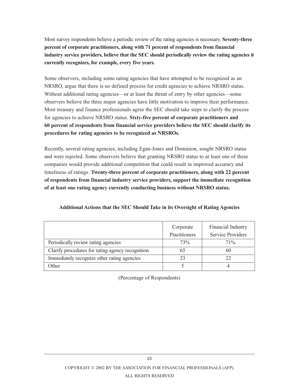Most survey respondents believe a periodic review of the rating agencies is necessary. **Seventy-three percent of corporate practitioners, along with 71 percent of respondents from financial industry service providers, believe that the SEC should periodically review the rating agencies it currently recognizes, for example, every five years.**

Some observers, including some rating agencies that have attempted to be recognized as an NRSRO, argue that there is no defined process for credit agencies to achieve NRSRO status. Without additional rating agencies—or at least the threat of entry by other agencies—some observers believe the three major agencies have little motivation to improve their performance. Most treasury and finance professionals agree the SEC should take steps to clarify the process for agencies to achieve NRSRO status. **Sixty-five percent of corporate practitioners and 60 percent of respondents from financial service providers believe the SEC should clarify its procedures for rating agencies to be recognized as NRSROs.**

Recently, several rating agencies, including Egan-Jones and Dominion, sought NRSRO status and were rejected. Some observers believe that granting NRSRO status to at least one of these companies would provide additional competition that could result in improved accuracy and timeliness of ratings. **Twenty-three percent of corporate practitioners, along with 22 percent of respondents from financial industry service providers, support the immediate recognition of at least one rating agency currently conducting business without NRSRO status.**

|                                                  | Corporate            | Financial Industry       |
|--------------------------------------------------|----------------------|--------------------------|
|                                                  | <b>Practitioners</b> | <b>Service Providers</b> |
| Periodically review rating agencies              | 73%                  | 71%                      |
| Clarify procedures for rating agency recognition |                      | 60                       |
| Immediately recognize other rating agencies      |                      |                          |
| $\cdot$ ther                                     |                      |                          |

**Additional Actions that the SEC Should Take in its Oversight of Rating Agencies**

(Percentage of Respondents)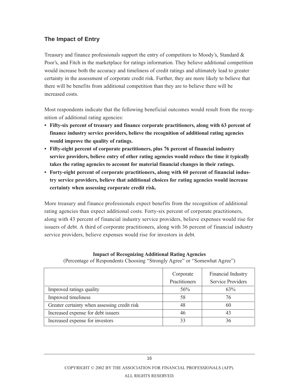# **The Impact of Entry**

Treasury and finance professionals support the entry of competitors to Moody's, Standard & Poor's, and Fitch in the marketplace for ratings information. They believe additional competition would increase both the accuracy and timeliness of credit ratings and ultimately lead to greater certainty in the assessment of corporate credit risk. Further, they are more likely to believe that there will be benefits from additional competition than they are to believe there will be increased costs.

Most respondents indicate that the following beneficial outcomes would result from the recognition of additional rating agencies:

- **Fifty-six percent of treasury and finance corporate practitioners, along with 63 percent of finance industry service providers, believe the recognition of additional rating agencies would improve the quality of ratings.**
- **Fifty-eight percent of corporate practitioners, plus 76 percent of financial industry service providers, believe entry of other rating agencies would reduce the time it typically takes the rating agencies to account for material financial changes in their ratings.**
- **Forty-eight percent of corporate practitioners, along with 60 percent of financial industry service providers, believe that additional choices for rating agencies would increase certainty when assessing corporate credit risk.**

More treasury and finance professionals expect benefits from the recognition of additional rating agencies than expect additional costs. Forty-six percent of corporate practitioners, along with 43 percent of financial industry service providers, believe expenses would rise for issuers of debt. A third of corporate practitioners, along with 36 percent of financial industry service providers, believe expenses would rise for investors in debt.

|                                              | Corporate     | Financial Industry       |
|----------------------------------------------|---------------|--------------------------|
|                                              | Practitioners | <b>Service Providers</b> |
| Improved ratings quality                     | 56%           | 63%                      |
| Improved timeliness                          | 58            | 76                       |
| Greater certainty when assessing credit risk | 48            | 60                       |
| Increased expense for debt issuers           | 46            | 43                       |
| Increased expense for investors              |               | 36                       |

## **Impact of Recognizing Additional Rating Agencies**

(Percentage of Respondents Choosing "Strongly Agree" or "Somewhat Agree")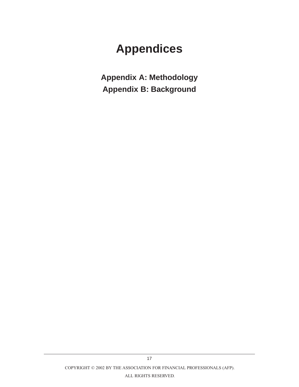# **Appendices**

**Appendix A: Methodology Appendix B: Background**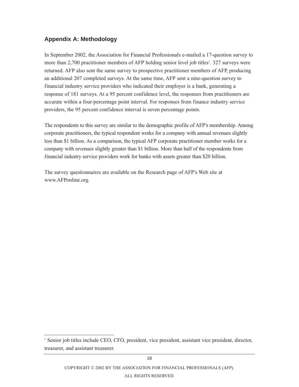# **Appendix A: Methodology**

In September 2002, the Association for Financial Professionals e-mailed a 17-question survey to more than 2,700 practitioner members of AFP holding senior level job titles<sup>1</sup>. 327 surveys were returned. AFP also sent the same survey to prospective practitioner members of AFP, producing an additional 207 completed surveys. At the same time, AFP sent a nine-question survey to financial industry service providers who indicated their employer is a bank, generating a response of 181 surveys. At a 95 percent confidence level, the responses from practitioners are accurate within a four-percentage point interval. For responses from finance industry service providers, the 95 percent confidence interval is seven percentage points.

The respondents to this survey are similar to the demographic profile of AFP's membership. Among corporate practitioners, the typical respondent works for a company with annual revenues slightly less than \$1 billion. As a comparison, the typical AFP corporate practitioner member works for a company with revenues slightly greater than \$1 billion. More than half of the respondents from financial industry service providers work for banks with assets greater than \$20 billion.

The survey questionnaires are available on the Research page of AFP's Web site at www.AFPonline.org*.*

<sup>1</sup> Senior job titles include CEO, CFO, president, vice president, assistant vice president, director, treasurer, and assistant treasurer.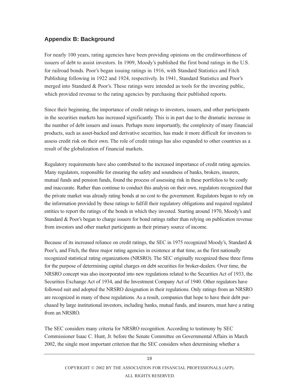# **Appendix B: Background**

For nearly 100 years, rating agencies have been providing opinions on the creditworthiness of issuers of debt to assist investors. In 1909, Moody's published the first bond ratings in the U.S. for railroad bonds. Poor's began issuing ratings in 1916, with Standard Statistics and Fitch Publishing following in 1922 and 1924, respectively. In 1941, Standard Statistics and Poor's merged into Standard & Poor's. These ratings were intended as tools for the investing public, which provided revenue to the rating agencies by purchasing their published reports.

Since their beginning, the importance of credit ratings to investors, issuers, and other participants in the securities markets has increased significantly. This is in part due to the dramatic increase in the number of debt issuers and issues. Perhaps more importantly, the complexity of many financial products, such as asset-backed and derivative securities, has made it more difficult for investors to assess credit risk on their own. The role of credit ratings has also expanded to other countries as a result of the globalization of financial markets.

Regulatory requirements have also contributed to the increased importance of credit rating agencies. Many regulators, responsible for ensuring the safety and soundness of banks, brokers, insurers, mutual funds and pension funds, found the process of assessing risk in these portfolios to be costly and inaccurate. Rather than continue to conduct this analysis on their own, regulators recognized that the private market was already rating bonds at no cost to the government. Regulators began to rely on the information provided by these ratings to fulfill their regulatory obligations and required regulated entities to report the ratings of the bonds in which they invested. Starting around 1970, Moody's and Standard & Poor's began to charge issuers for bond ratings rather than relying on publication revenue from investors and other market participants as their primary source of income.

Because of its increased reliance on credit ratings, the SEC in 1975 recognized Moody's, Standard & Poor's, and Fitch, the three major rating agencies in existence at that time, as the first nationally recognized statistical rating organizations (NRSRO). The SEC originally recognized these three firms for the purpose of determining capital charges on debt securities for broker-dealers. Over time, the NRSRO concept was also incorporated into new regulations related to the Securities Act of 1933, the Securities Exchange Act of 1934, and the Investment Company Act of 1940. Other regulators have followed suit and adopted the NRSRO designation in their regulations. Only ratings from an NRSRO are recognized in many of these regulations. As a result, companies that hope to have their debt purchased by large institutional investors, including banks, mutual funds, and insurers, must have a rating from an NRSRO.

The SEC considers many criteria for NRSRO recognition. According to testimony by SEC Commissioner Isaac C. Hunt, Jr. before the Senate Committee on Governmental Affairs in March 2002, the single most important criterion that the SEC considers when determining whether a

19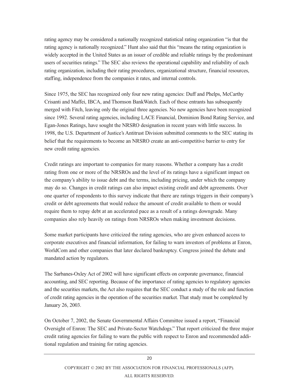rating agency may be considered a nationally recognized statistical rating organization "is that the rating agency is nationally recognized." Hunt also said that this "means the rating organization is widely accepted in the United States as an issuer of credible and reliable ratings by the predominant users of securities ratings." The SEC also reviews the operational capability and reliability of each rating organization, including their rating procedures, organizational structure, financial resources, staffing, independence from the companies it rates, and internal controls.

Since 1975, the SEC has recognized only four new rating agencies: Duff and Phelps, McCarthy Crisanti and Maffei, IBCA, and Thomson BankWatch. Each of these entrants has subsequently merged with Fitch, leaving only the original three agencies. No new agencies have been recognized since 1992. Several rating agencies, including LACE Financial, Dominion Bond Rating Service, and Egan-Jones Ratings, have sought the NRSRO designation in recent years with little success. In 1998, the U.S. Department of Justice's Antitrust Division submitted comments to the SEC stating its belief that the requirements to become an NRSRO create an anti-competitive barrier to entry for new credit rating agencies.

Credit ratings are important to companies for many reasons. Whether a company has a credit rating from one or more of the NRSROs and the level of its ratings have a significant impact on the company's ability to issue debt and the terms, including pricing, under which the company may do so. Changes in credit ratings can also impact existing credit and debt agreements. Over one quarter of respondents to this survey indicate that there are ratings triggers in their company's credit or debt agreements that would reduce the amount of credit available to them or would require them to repay debt at an accelerated pace as a result of a ratings downgrade. Many companies also rely heavily on ratings from NRSROs when making investment decisions.

Some market participants have criticized the rating agencies, who are given enhanced access to corporate executives and financial information, for failing to warn investors of problems at Enron, WorldCom and other companies that later declared bankruptcy. Congress joined the debate and mandated action by regulators.

The Sarbanes-Oxley Act of 2002 will have significant effects on corporate governance, financial accounting, and SEC reporting. Because of the importance of rating agencies to regulatory agencies and the securities markets, the Act also requires that the SEC conduct a study of the role and function of credit rating agencies in the operation of the securities market. That study must be completed by January 26, 2003.

On October 7, 2002, the Senate Governmental Affairs Committee issued a report, "Financial Oversight of Enron: The SEC and Private-Sector Watchdogs." That report criticized the three major credit rating agencies for failing to warn the public with respect to Enron and recommended additional regulation and training for rating agencies.